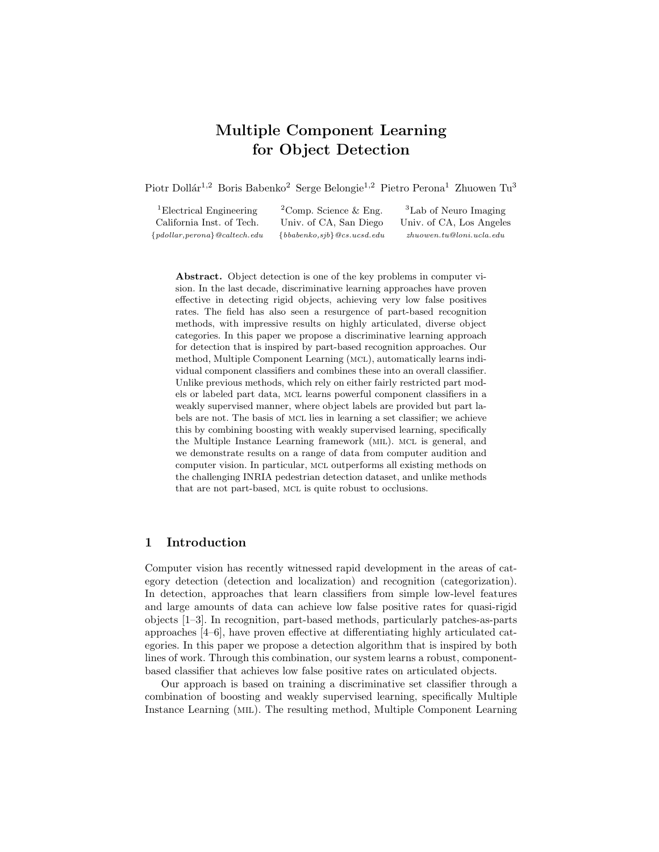# Multiple Component Learning for Object Detection

Piotr Dollár<sup>1,2</sup> Boris Babenko<sup>2</sup> Serge Belongie<sup>1,2</sup> Pietro Perona<sup>1</sup> Zhuowen Tu<sup>3</sup>

<sup>1</sup>Electrical Engineering <sup>2</sup>Comp. Science & Eng. <sup>3</sup>Lab of Neuro Imaging California Inst. of Tech. Univ. of CA, San Diego Univ. of CA, Los Angeles {pdollar,perona}@caltech.edu {bbabenko,sjb}@cs.ucsd.edu zhuowen.tu@loni.ucla.edu

Abstract. Object detection is one of the key problems in computer vision. In the last decade, discriminative learning approaches have proven effective in detecting rigid objects, achieving very low false positives rates. The field has also seen a resurgence of part-based recognition methods, with impressive results on highly articulated, diverse object categories. In this paper we propose a discriminative learning approach for detection that is inspired by part-based recognition approaches. Our method, Multiple Component Learning (mcl), automatically learns individual component classifiers and combines these into an overall classifier. Unlike previous methods, which rely on either fairly restricted part models or labeled part data, mcl learns powerful component classifiers in a weakly supervised manner, where object labels are provided but part labels are not. The basis of mcl lies in learning a set classifier; we achieve this by combining boosting with weakly supervised learning, specifically the Multiple Instance Learning framework (mil). mcl is general, and we demonstrate results on a range of data from computer audition and computer vision. In particular, mcl outperforms all existing methods on the challenging INRIA pedestrian detection dataset, and unlike methods that are not part-based, mcl is quite robust to occlusions.

# 1 Introduction

Computer vision has recently witnessed rapid development in the areas of category detection (detection and localization) and recognition (categorization). In detection, approaches that learn classifiers from simple low-level features and large amounts of data can achieve low false positive rates for quasi-rigid objects [1–3]. In recognition, part-based methods, particularly patches-as-parts approaches [4–6], have proven effective at differentiating highly articulated categories. In this paper we propose a detection algorithm that is inspired by both lines of work. Through this combination, our system learns a robust, componentbased classifier that achieves low false positive rates on articulated objects.

Our approach is based on training a discriminative set classifier through a combination of boosting and weakly supervised learning, specifically Multiple Instance Learning (mil). The resulting method, Multiple Component Learning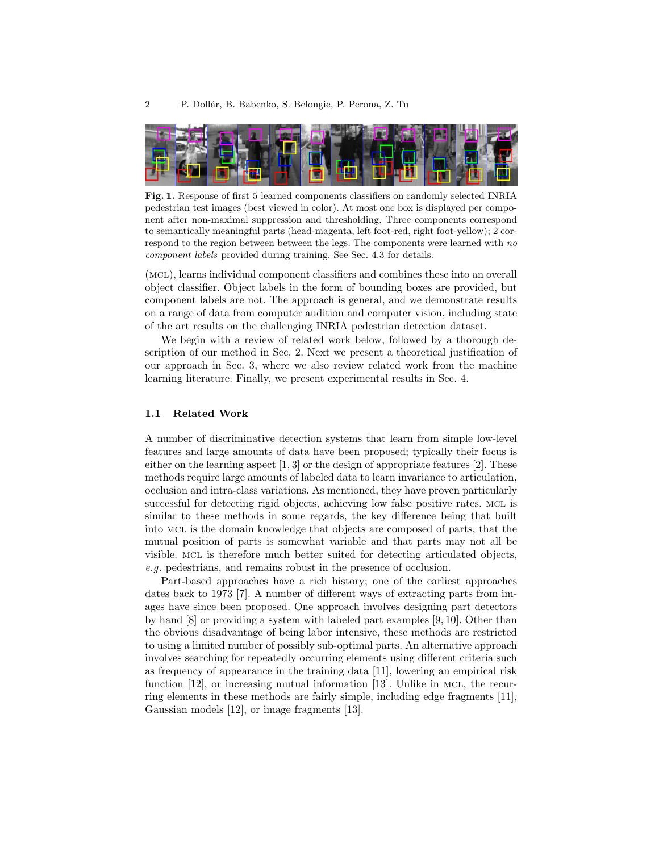

Fig. 1. Response of first 5 learned components classifiers on randomly selected INRIA pedestrian test images (best viewed in color). At most one box is displayed per component after non-maximal suppression and thresholding. Three components correspond to semantically meaningful parts (head-magenta, left foot-red, right foot-yellow); 2 correspond to the region between between the legs. The components were learned with no component labels provided during training. See Sec. 4.3 for details.

(mcl), learns individual component classifiers and combines these into an overall object classifier. Object labels in the form of bounding boxes are provided, but component labels are not. The approach is general, and we demonstrate results on a range of data from computer audition and computer vision, including state of the art results on the challenging INRIA pedestrian detection dataset.

We begin with a review of related work below, followed by a thorough description of our method in Sec. 2. Next we present a theoretical justification of our approach in Sec. 3, where we also review related work from the machine learning literature. Finally, we present experimental results in Sec. 4.

## 1.1 Related Work

A number of discriminative detection systems that learn from simple low-level features and large amounts of data have been proposed; typically their focus is either on the learning aspect  $[1,3]$  or the design of appropriate features  $[2]$ . These methods require large amounts of labeled data to learn invariance to articulation, occlusion and intra-class variations. As mentioned, they have proven particularly successful for detecting rigid objects, achieving low false positive rates. MCL is similar to these methods in some regards, the key difference being that built into mcl is the domain knowledge that objects are composed of parts, that the mutual position of parts is somewhat variable and that parts may not all be visible. mcl is therefore much better suited for detecting articulated objects, e.g. pedestrians, and remains robust in the presence of occlusion.

Part-based approaches have a rich history; one of the earliest approaches dates back to 1973 [7]. A number of different ways of extracting parts from images have since been proposed. One approach involves designing part detectors by hand [8] or providing a system with labeled part examples [9, 10]. Other than the obvious disadvantage of being labor intensive, these methods are restricted to using a limited number of possibly sub-optimal parts. An alternative approach involves searching for repeatedly occurring elements using different criteria such as frequency of appearance in the training data [11], lowering an empirical risk function [12], or increasing mutual information [13]. Unlike in MCL, the recurring elements in these methods are fairly simple, including edge fragments [11], Gaussian models [12], or image fragments [13].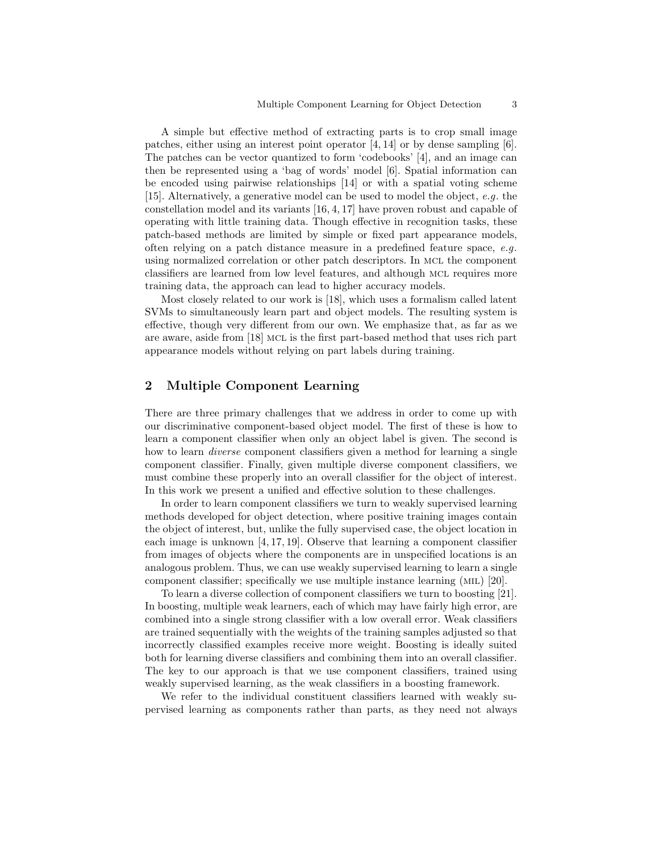A simple but effective method of extracting parts is to crop small image patches, either using an interest point operator [4, 14] or by dense sampling [6]. The patches can be vector quantized to form 'codebooks' [4], and an image can then be represented using a 'bag of words' model [6]. Spatial information can be encoded using pairwise relationships [14] or with a spatial voting scheme [15]. Alternatively, a generative model can be used to model the object, e.g. the constellation model and its variants [16, 4, 17] have proven robust and capable of operating with little training data. Though effective in recognition tasks, these patch-based methods are limited by simple or fixed part appearance models, often relying on a patch distance measure in a predefined feature space, e.g. using normalized correlation or other patch descriptors. In MCL the component classifiers are learned from low level features, and although mcl requires more training data, the approach can lead to higher accuracy models.

Most closely related to our work is [18], which uses a formalism called latent SVMs to simultaneously learn part and object models. The resulting system is effective, though very different from our own. We emphasize that, as far as we are aware, aside from [18] mcl is the first part-based method that uses rich part appearance models without relying on part labels during training.

# 2 Multiple Component Learning

There are three primary challenges that we address in order to come up with our discriminative component-based object model. The first of these is how to learn a component classifier when only an object label is given. The second is how to learn *diverse* component classifiers given a method for learning a single component classifier. Finally, given multiple diverse component classifiers, we must combine these properly into an overall classifier for the object of interest. In this work we present a unified and effective solution to these challenges.

In order to learn component classifiers we turn to weakly supervised learning methods developed for object detection, where positive training images contain the object of interest, but, unlike the fully supervised case, the object location in each image is unknown [4, 17, 19]. Observe that learning a component classifier from images of objects where the components are in unspecified locations is an analogous problem. Thus, we can use weakly supervised learning to learn a single component classifier; specifically we use multiple instance learning (mil) [20].

To learn a diverse collection of component classifiers we turn to boosting [21]. In boosting, multiple weak learners, each of which may have fairly high error, are combined into a single strong classifier with a low overall error. Weak classifiers are trained sequentially with the weights of the training samples adjusted so that incorrectly classified examples receive more weight. Boosting is ideally suited both for learning diverse classifiers and combining them into an overall classifier. The key to our approach is that we use component classifiers, trained using weakly supervised learning, as the weak classifiers in a boosting framework.

We refer to the individual constituent classifiers learned with weakly supervised learning as components rather than parts, as they need not always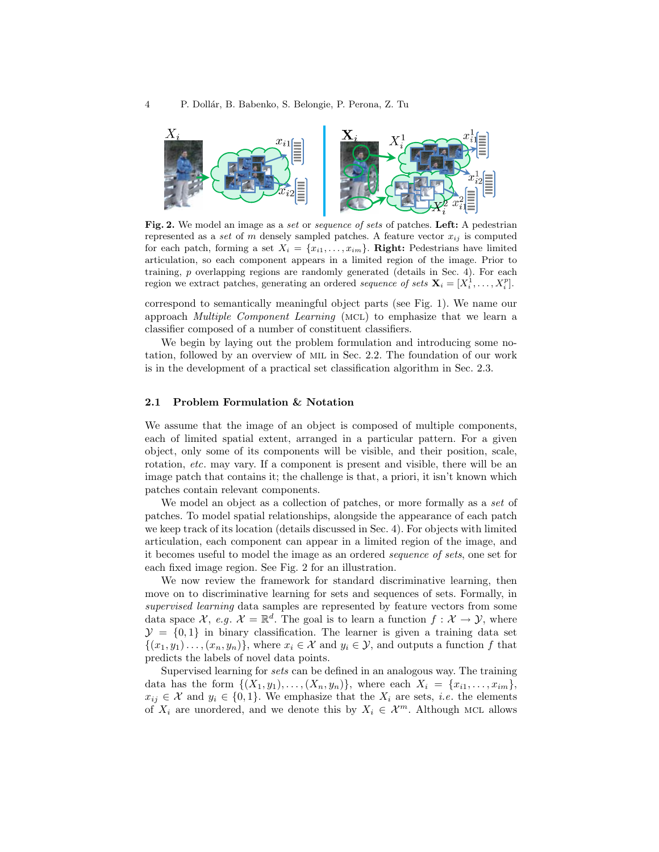

Fig. 2. We model an image as a set or sequence of sets of patches. Left: A pedestrian represented as a set of m densely sampled patches. A feature vector  $x_{ij}$  is computed for each patch, forming a set  $X_i = \{x_{i1}, \ldots, x_{im}\}\$ . Right: Pedestrians have limited articulation, so each component appears in a limited region of the image. Prior to training, p overlapping regions are randomly generated (details in Sec. 4). For each region we extract patches, generating an ordered sequence of sets  $\mathbf{X}_i = [X_i^1, \dots, X_i^p]$ .

correspond to semantically meaningful object parts (see Fig. 1). We name our approach Multiple Component Learning (mcl) to emphasize that we learn a classifier composed of a number of constituent classifiers.

We begin by laying out the problem formulation and introducing some notation, followed by an overview of mil in Sec. 2.2. The foundation of our work is in the development of a practical set classification algorithm in Sec. 2.3.

## 2.1 Problem Formulation & Notation

We assume that the image of an object is composed of multiple components, each of limited spatial extent, arranged in a particular pattern. For a given object, only some of its components will be visible, and their position, scale, rotation, *etc.* may vary. If a component is present and visible, there will be an image patch that contains it; the challenge is that, a priori, it isn't known which patches contain relevant components.

We model an object as a collection of patches, or more formally as a set of patches. To model spatial relationships, alongside the appearance of each patch we keep track of its location (details discussed in Sec. 4). For objects with limited articulation, each component can appear in a limited region of the image, and it becomes useful to model the image as an ordered sequence of sets, one set for each fixed image region. See Fig. 2 for an illustration.

We now review the framework for standard discriminative learning, then move on to discriminative learning for sets and sequences of sets. Formally, in supervised learning data samples are represented by feature vectors from some data space  $\mathcal{X}, e.g.$   $\mathcal{X} = \mathbb{R}^d$ . The goal is to learn a function  $f: \mathcal{X} \to \mathcal{Y}$ , where  $\mathcal{Y} = \{0, 1\}$  in binary classification. The learner is given a training data set  $\{(x_1,y_1),\ldots,(x_n,y_n)\}\,$  where  $x_i \in \mathcal{X}$  and  $y_i \in \mathcal{Y}$ , and outputs a function f that predicts the labels of novel data points.

Supervised learning for sets can be defined in an analogous way. The training data has the form  $\{(X_1, y_1), \ldots, (X_n, y_n)\}\$ , where each  $X_i = \{x_{i1}, \ldots, x_{im}\}\$ ,  $x_{ij} \in \mathcal{X}$  and  $y_i \in \{0,1\}$ . We emphasize that the  $X_i$  are sets, *i.e.* the elements of  $X_i$  are unordered, and we denote this by  $X_i \in \mathcal{X}^m$ . Although MCL allows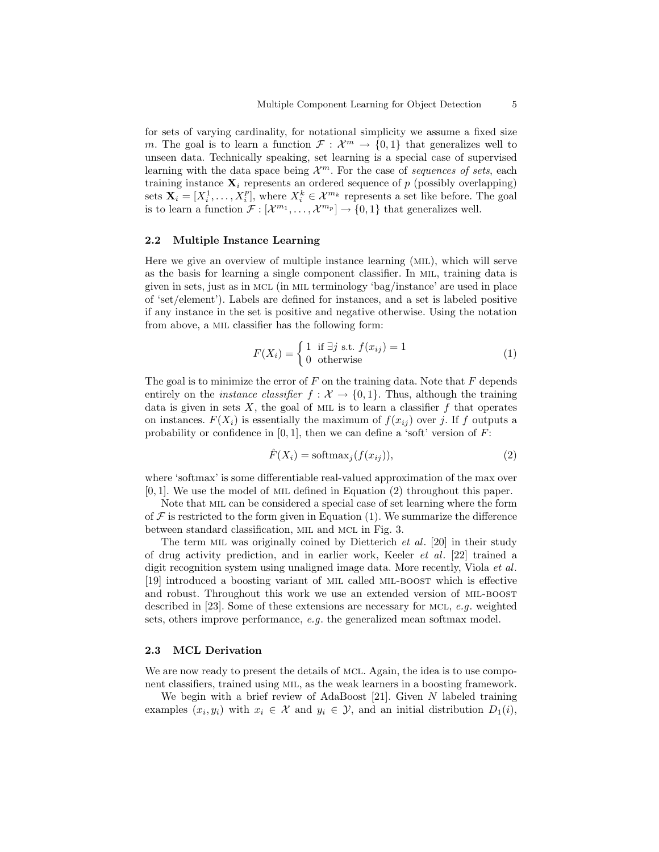for sets of varying cardinality, for notational simplicity we assume a fixed size m. The goal is to learn a function  $\mathcal{F}: \mathcal{X}^m \to \{0,1\}$  that generalizes well to unseen data. Technically speaking, set learning is a special case of supervised learning with the data space being  $\mathcal{X}^m$ . For the case of sequences of sets, each training instance  $\mathbf{X}_i$  represents an ordered sequence of p (possibly overlapping) sets  $\mathbf{X}_i = [X_i^1, \dots, X_i^p]$ , where  $X_i^k \in \mathcal{X}^{m_k}$  represents a set like before. The goal is to learn a function  $\mathcal{F}: [\mathcal{X}^{m_1}, \ldots, \mathcal{X}^{m_p}] \to \{0,1\}$  that generalizes well.

#### 2.2 Multiple Instance Learning

Here we give an overview of multiple instance learning (mil), which will serve as the basis for learning a single component classifier. In mil, training data is given in sets, just as in mcl (in mil terminology 'bag/instance' are used in place of 'set/element'). Labels are defined for instances, and a set is labeled positive if any instance in the set is positive and negative otherwise. Using the notation from above, a mil classifier has the following form:

$$
F(X_i) = \begin{cases} 1 & \text{if } \exists j \text{ s.t. } f(x_{ij}) = 1 \\ 0 & \text{otherwise} \end{cases}
$$
 (1)

The goal is to minimize the error of  $F$  on the training data. Note that  $F$  depends entirely on the *instance classifier*  $f : \mathcal{X} \to \{0,1\}$ . Thus, although the training data is given in sets  $X$ , the goal of MIL is to learn a classifier  $f$  that operates on instances.  $F(X_i)$  is essentially the maximum of  $f(x_{ij})$  over j. If f outputs a probability or confidence in  $[0, 1]$ , then we can define a 'soft' version of  $F$ :

$$
\hat{F}(X_i) = \text{softmax}_j(f(x_{ij})),\tag{2}
$$

where 'softmax' is some differentiable real-valued approximation of the max over  $[0, 1]$ . We use the model of MIL defined in Equation  $(2)$  throughout this paper.

Note that mil can be considered a special case of set learning where the form of  $\mathcal F$  is restricted to the form given in Equation (1). We summarize the difference between standard classification, MIL and MCL in Fig. 3.

The term MIL was originally coined by Dietterich  $et \ al.$  [20] in their study of drug activity prediction, and in earlier work, Keeler et al. [22] trained a digit recognition system using unaligned image data. More recently, Viola *et al.* [19] introduced a boosting variant of mil called mil-boost which is effective and robust. Throughout this work we use an extended version of MIL-BOOST described in [23]. Some of these extensions are necessary for mcl, e.g. weighted sets, others improve performance, e.g. the generalized mean softmax model.

## 2.3 MCL Derivation

We are now ready to present the details of MCL. Again, the idea is to use component classifiers, trained using mil, as the weak learners in a boosting framework.

We begin with a brief review of AdaBoost [21]. Given  $N$  labeled training examples  $(x_i, y_i)$  with  $x_i \in \mathcal{X}$  and  $y_i \in \mathcal{Y}$ , and an initial distribution  $D_1(i)$ ,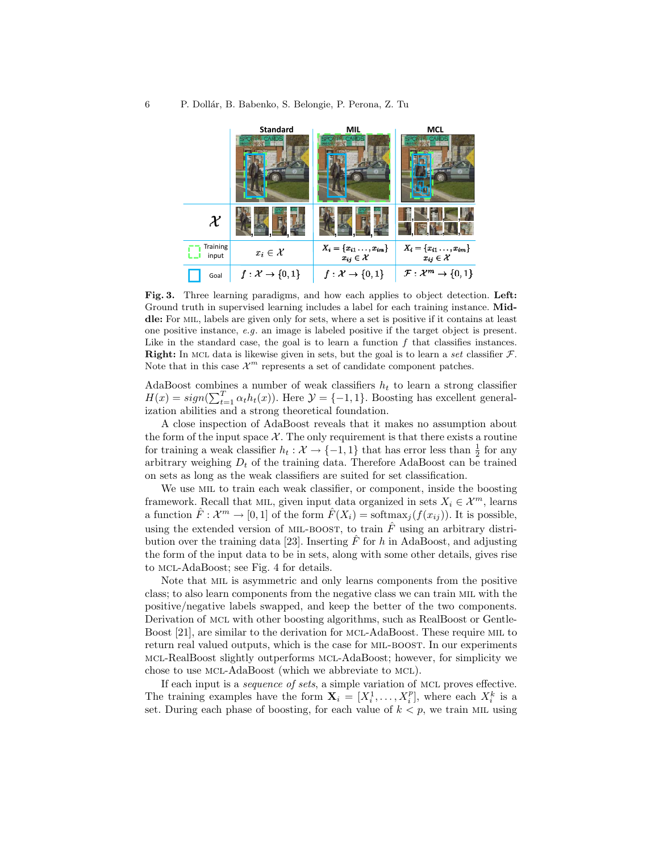

Fig. 3. Three learning paradigms, and how each applies to object detection. Left: Ground truth in supervised learning includes a label for each training instance. Middle: For MIL, labels are given only for sets, where a set is positive if it contains at least one positive instance, e.g. an image is labeled positive if the target object is present. Like in the standard case, the goal is to learn a function  $f$  that classifies instances. **Right:** In MCL data is likewise given in sets, but the goal is to learn a set classifier  $\mathcal{F}$ . Note that in this case  $\mathcal{X}^m$  represents a set of candidate component patches.

AdaBoost combines a number of weak classifiers  $h_t$  to learn a strong classifier  $H(x) = sign(\sum_{t=1}^{T} \alpha_t h_t(x))$ . Here  $\mathcal{Y} = \{-1, 1\}$ . Boosting has excellent generalization abilities and a strong theoretical foundation.

A close inspection of AdaBoost reveals that it makes no assumption about the form of the input space  $X$ . The only requirement is that there exists a routine for training a weak classifier  $h_t: \mathcal{X} \to \{-1, 1\}$  that has error less than  $\frac{1}{2}$  for any arbitrary weighing  $D_t$  of the training data. Therefore AdaBoost can be trained on sets as long as the weak classifiers are suited for set classification.

We use MIL to train each weak classifier, or component, inside the boosting framework. Recall that MIL, given input data organized in sets  $X_i \in \mathcal{X}^m$ , learns a function  $\hat{F}: \mathcal{X}^m \to [0,1]$  of the form  $\hat{F}(X_i) = \text{softmax}_j(f(x_{ij}))$ . It is possible, using the extended version of MIL-BOOST, to train  $\hat{F}$  using an arbitrary distribution over the training data [23]. Inserting  $\overline{F}$  for h in AdaBoost, and adjusting the form of the input data to be in sets, along with some other details, gives rise to mcl-AdaBoost; see Fig. 4 for details.

Note that mil is asymmetric and only learns components from the positive class; to also learn components from the negative class we can train mil with the positive/negative labels swapped, and keep the better of the two components. Derivation of mcl with other boosting algorithms, such as RealBoost or Gentle-Boost [21], are similar to the derivation for mcl-AdaBoost. These require mil to return real valued outputs, which is the case for MIL-BOOST. In our experiments mcl-RealBoost slightly outperforms mcl-AdaBoost; however, for simplicity we chose to use mcl-AdaBoost (which we abbreviate to mcl).

If each input is a sequence of sets, a simple variation of mcl proves effective. The training examples have the form  $\mathbf{X}_i = [X_i^1, \dots, X_i^p]$ , where each  $X_i^k$  is a set. During each phase of boosting, for each value of  $k < p$ , we train MIL using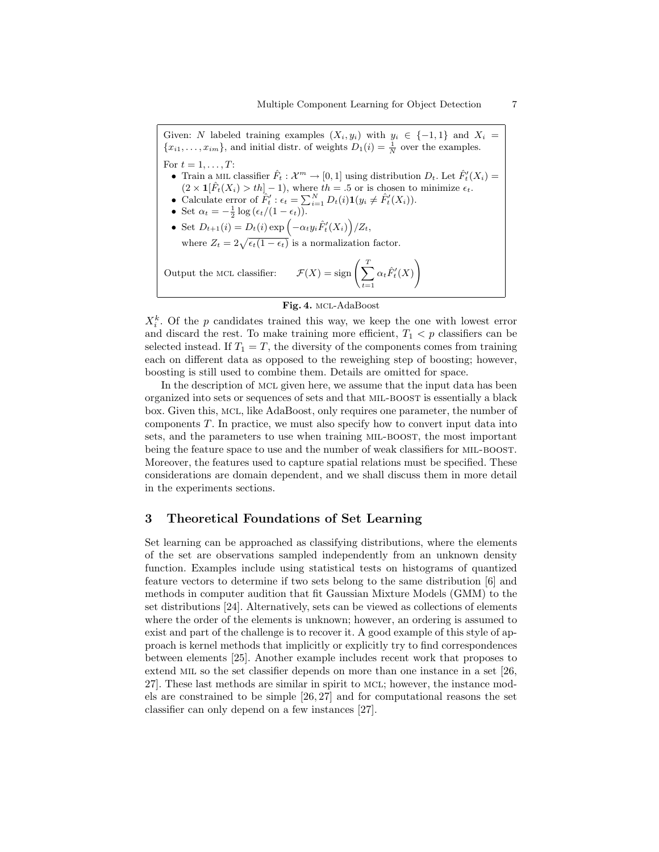Given: N labeled training examples  $(X_i, y_i)$  with  $y_i \in \{-1, 1\}$  and  $X_i =$  ${x_{i1}, \ldots, x_{im}}$ , and initial distr. of weights  $D_1(i) = \frac{1}{N}$  over the examples. For  $t = 1, \ldots, T$ : • Train a MIL classifier  $\hat{F}_t : \mathcal{X}^m \to [0,1]$  using distribution  $D_t$ . Let  $\hat{F}_t'(X_i) =$  $(2 \times \mathbf{1}[\hat{F}_t(X_i) > th] - 1)$ , where  $th = .5$  or is chosen to minimize  $\epsilon_t$ . • Calculate error of  $\hat{F}'_t : \epsilon_t = \sum_{i=1}^N D_t(i) \mathbf{1}(y_i \neq \hat{F}'_t(X_i)).$ • Set  $\alpha_t = -\frac{1}{2} \log \left( \frac{\epsilon_t}{1 - \epsilon_t} \right)$ . • Set  $D_{t+1}(i) = D_t(i) \exp \left(-\alpha_t y_i \hat{F}'_t(X_i)\right)/Z_t$ , where  $Z_t = 2\sqrt{\epsilon_t(1-\epsilon_t)}$  is a normalization factor. Output the MCL classifier:  $\mathcal{F}(X) = \text{sign}\left(\sum_{i=1}^{T}X_i\right)$  $t=1$  $\alpha_t \hat F'_t(X)$  $\setminus$ 

#### Fig. 4. mcl-AdaBoost

 $X_i^k$ . Of the p candidates trained this way, we keep the one with lowest error and discard the rest. To make training more efficient,  $T_1 < p$  classifiers can be selected instead. If  $T_1 = T$ , the diversity of the components comes from training each on different data as opposed to the reweighing step of boosting; however, boosting is still used to combine them. Details are omitted for space.

In the description of MCL given here, we assume that the input data has been organized into sets or sequences of sets and that mil-boost is essentially a black box. Given this, mcl, like AdaBoost, only requires one parameter, the number of components T. In practice, we must also specify how to convert input data into sets, and the parameters to use when training MIL-BOOST, the most important being the feature space to use and the number of weak classifiers for MIL-BOOST. Moreover, the features used to capture spatial relations must be specified. These considerations are domain dependent, and we shall discuss them in more detail in the experiments sections.

# 3 Theoretical Foundations of Set Learning

Set learning can be approached as classifying distributions, where the elements of the set are observations sampled independently from an unknown density function. Examples include using statistical tests on histograms of quantized feature vectors to determine if two sets belong to the same distribution [6] and methods in computer audition that fit Gaussian Mixture Models (GMM) to the set distributions [24]. Alternatively, sets can be viewed as collections of elements where the order of the elements is unknown; however, an ordering is assumed to exist and part of the challenge is to recover it. A good example of this style of approach is kernel methods that implicitly or explicitly try to find correspondences between elements [25]. Another example includes recent work that proposes to extend MIL so the set classifier depends on more than one instance in a set [26, 27]. These last methods are similar in spirit to mcl; however, the instance models are constrained to be simple [26, 27] and for computational reasons the set classifier can only depend on a few instances [27].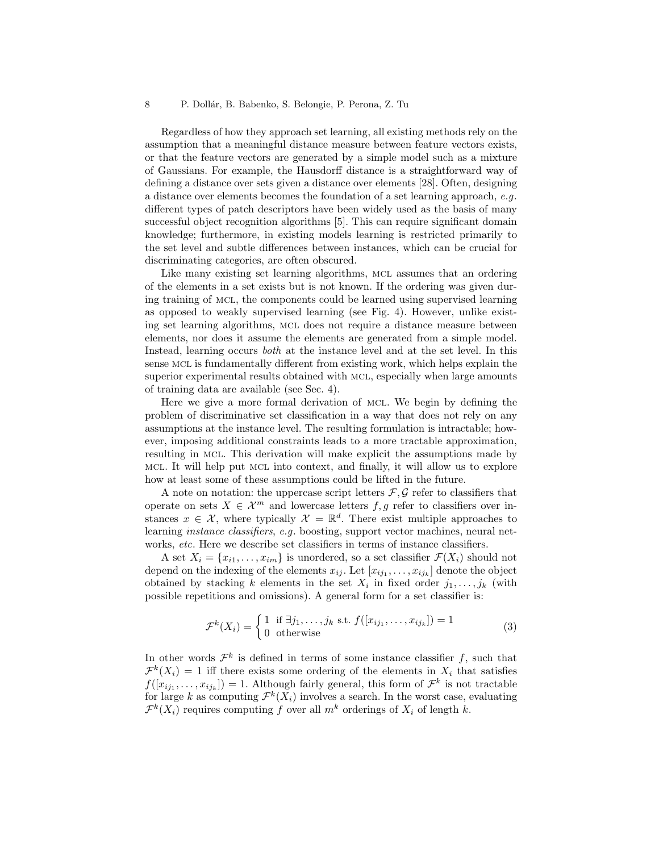Regardless of how they approach set learning, all existing methods rely on the assumption that a meaningful distance measure between feature vectors exists, or that the feature vectors are generated by a simple model such as a mixture of Gaussians. For example, the Hausdorff distance is a straightforward way of defining a distance over sets given a distance over elements [28]. Often, designing a distance over elements becomes the foundation of a set learning approach, e.g. different types of patch descriptors have been widely used as the basis of many successful object recognition algorithms [5]. This can require significant domain knowledge; furthermore, in existing models learning is restricted primarily to the set level and subtle differences between instances, which can be crucial for discriminating categories, are often obscured.

Like many existing set learning algorithms, mcl assumes that an ordering of the elements in a set exists but is not known. If the ordering was given during training of mcl, the components could be learned using supervised learning as opposed to weakly supervised learning (see Fig. 4). However, unlike existing set learning algorithms, mcl does not require a distance measure between elements, nor does it assume the elements are generated from a simple model. Instead, learning occurs both at the instance level and at the set level. In this sense mcl is fundamentally different from existing work, which helps explain the superior experimental results obtained with mcl, especially when large amounts of training data are available (see Sec. 4).

Here we give a more formal derivation of mcl. We begin by defining the problem of discriminative set classification in a way that does not rely on any assumptions at the instance level. The resulting formulation is intractable; however, imposing additional constraints leads to a more tractable approximation, resulting in mcl. This derivation will make explicit the assumptions made by mcl. It will help put mcl into context, and finally, it will allow us to explore how at least some of these assumptions could be lifted in the future.

A note on notation: the uppercase script letters  $\mathcal{F}, \mathcal{G}$  refer to classifiers that operate on sets  $X \in \mathcal{X}^m$  and lowercase letters  $f, g$  refer to classifiers over instances  $x \in \mathcal{X}$ , where typically  $\mathcal{X} = \mathbb{R}^d$ . There exist multiple approaches to learning instance classifiers, e.g. boosting, support vector machines, neural networks, etc. Here we describe set classifiers in terms of instance classifiers.

A set  $X_i = \{x_{i1}, \ldots, x_{im}\}\$ is unordered, so a set classifier  $\mathcal{F}(X_i)$  should not depend on the indexing of the elements  $x_{ij}$ . Let  $[x_{ij_1},...,x_{ij_k}]$  denote the object obtained by stacking k elements in the set  $X_i$  in fixed order  $j_1, \ldots, j_k$  (with possible repetitions and omissions). A general form for a set classifier is:

$$
\mathcal{F}^k(X_i) = \begin{cases} 1 & \text{if } \exists j_1, \dots, j_k \text{ s.t. } f([x_{ij_1}, \dots, x_{ij_k}]) = 1 \\ 0 & \text{otherwise} \end{cases}
$$
(3)

In other words  $\mathcal{F}^k$  is defined in terms of some instance classifier f, such that  $\mathcal{F}^k(X_i) = 1$  iff there exists some ordering of the elements in  $X_i$  that satisfies  $f([x_{ij_1},...,x_{ij_k}]) = 1.$  Although fairly general, this form of  $\mathcal{F}^k$  is not tractable for large k as computing  $\mathcal{F}^k(X_i)$  involves a search. In the worst case, evaluating  $\mathcal{F}^k(X_i)$  requires computing f over all  $m^k$  orderings of  $X_i$  of length k.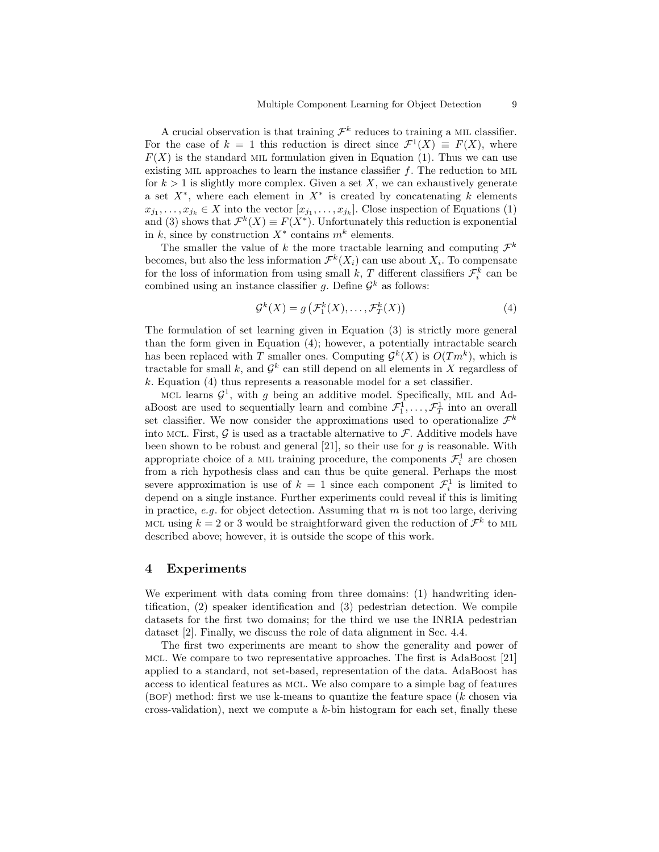A crucial observation is that training  $\mathcal{F}^k$  reduces to training a MIL classifier. For the case of  $k = 1$  this reduction is direct since  $\mathcal{F}^1(X) \equiv F(X)$ , where  $F(X)$  is the standard MIL formulation given in Equation (1). Thus we can use existing MIL approaches to learn the instance classifier  $f$ . The reduction to MIL for  $k > 1$  is slightly more complex. Given a set X, we can exhaustively generate a set  $X^*$ , where each element in  $X^*$  is created by concatenating k elements  $x_{j_1}, \ldots, x_{j_k} \in X$  into the vector  $[x_{j_1}, \ldots, x_{j_k}]$ . Close inspection of Equations (1) and (3) shows that  $\mathcal{F}^k(X) \equiv F(X^*)$ . Unfortunately this reduction is exponential in k, since by construction  $X^*$  contains  $m^k$  elements.

The smaller the value of k the more tractable learning and computing  $\mathcal{F}^k$ becomes, but also the less information  $\mathcal{F}^k(X_i)$  can use about  $X_i$ . To compensate for the loss of information from using small k, T different classifiers  $\mathcal{F}_i^k$  can be combined using an instance classifier g. Define  $\mathcal{G}^k$  as follows:

$$
\mathcal{G}^k(X) = g\left(\mathcal{F}_1^k(X), \dots, \mathcal{F}_T^k(X)\right) \tag{4}
$$

The formulation of set learning given in Equation (3) is strictly more general than the form given in Equation (4); however, a potentially intractable search has been replaced with T smaller ones. Computing  $\mathcal{G}^k(X)$  is  $O(Tm^k)$ , which is tractable for small k, and  $\mathcal{G}^k$  can still depend on all elements in X regardless of  $k.$  Equation (4) thus represents a reasonable model for a set classifier.

MCL learns  $\mathcal{G}^1$ , with g being an additive model. Specifically, MIL and AdaBoost are used to sequentially learn and combine  $\mathcal{F}_1^1, \ldots, \mathcal{F}_T^1$  into an overall set classifier. We now consider the approximations used to operationalize  $\mathcal{F}^k$ into MCL. First,  $\mathcal G$  is used as a tractable alternative to  $\mathcal F$ . Additive models have been shown to be robust and general [21], so their use for  $g$  is reasonable. With appropriate choice of a MIL training procedure, the components  $\mathcal{F}_i^1$  are chosen from a rich hypothesis class and can thus be quite general. Perhaps the most severe approximation is use of  $k = 1$  since each component  $\mathcal{F}^1_i$  is limited to depend on a single instance. Further experiments could reveal if this is limiting in practice, e.g. for object detection. Assuming that  $m$  is not too large, deriving MCL using  $k = 2$  or 3 would be straightforward given the reduction of  $\mathcal{F}^k$  to MIL described above; however, it is outside the scope of this work.

## 4 Experiments

We experiment with data coming from three domains: (1) handwriting identification, (2) speaker identification and (3) pedestrian detection. We compile datasets for the first two domains; for the third we use the INRIA pedestrian dataset [2]. Finally, we discuss the role of data alignment in Sec. 4.4.

The first two experiments are meant to show the generality and power of mcl. We compare to two representative approaches. The first is AdaBoost [21] applied to a standard, not set-based, representation of the data. AdaBoost has access to identical features as mcl. We also compare to a simple bag of features  $(BOF)$  method: first we use k-means to quantize the feature space  $(k \text{ chosen via})$ cross-validation), next we compute a  $k$ -bin histogram for each set, finally these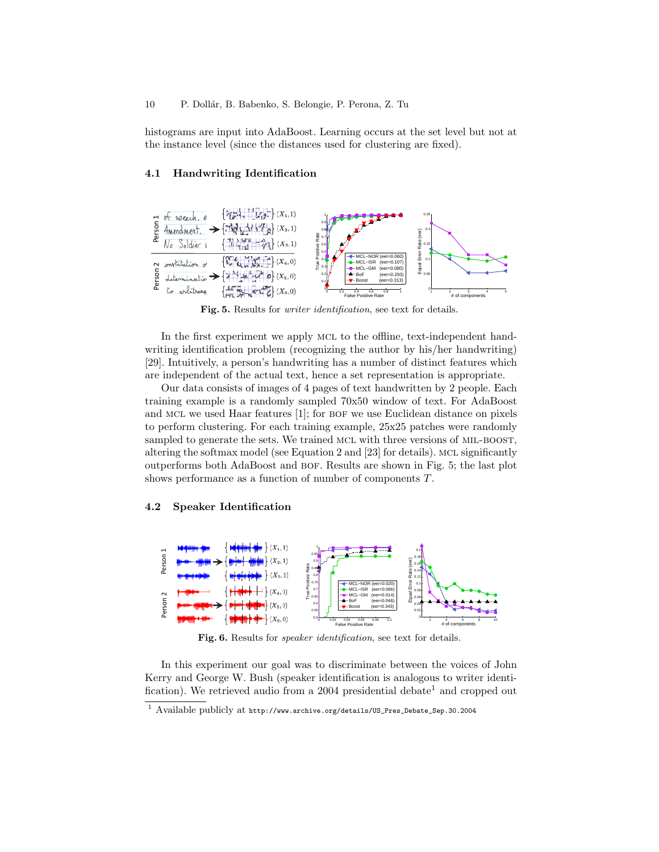histograms are input into AdaBoost. Learning occurs at the set level but not at the instance level (since the distances used for clustering are fixed).

## 4.1 Handwriting Identification



Fig. 5. Results for writer identification, see text for details.

In the first experiment we apply MCL to the offline, text-independent handwriting identification problem (recognizing the author by his/her handwriting) [29]. Intuitively, a person's handwriting has a number of distinct features which are independent of the actual text, hence a set representation is appropriate.

Our data consists of images of 4 pages of text handwritten by 2 people. Each training example is a randomly sampled 70x50 window of text. For AdaBoost and MCL we used Haar features  $[1]$ ; for BOF we use Euclidean distance on pixels to perform clustering. For each training example, 25x25 patches were randomly sampled to generate the sets. We trained MCL with three versions of MIL-BOOST, altering the softmax model (see Equation 2 and [23] for details). MCL significantly outperforms both AdaBoost and bof. Results are shown in Fig. 5; the last plot shows performance as a function of number of components T.

## 4.2 Speaker Identification



Fig. 6. Results for *speaker identification*, see text for details.

In this experiment our goal was to discriminate between the voices of John Kerry and George W. Bush (speaker identification is analogous to writer identification). We retrieved audio from a 2004 presidential debate<sup>1</sup> and cropped out

<sup>1</sup> Available publicly at http://www.archive.org/details/US\_Pres\_Debate\_Sep.30.2004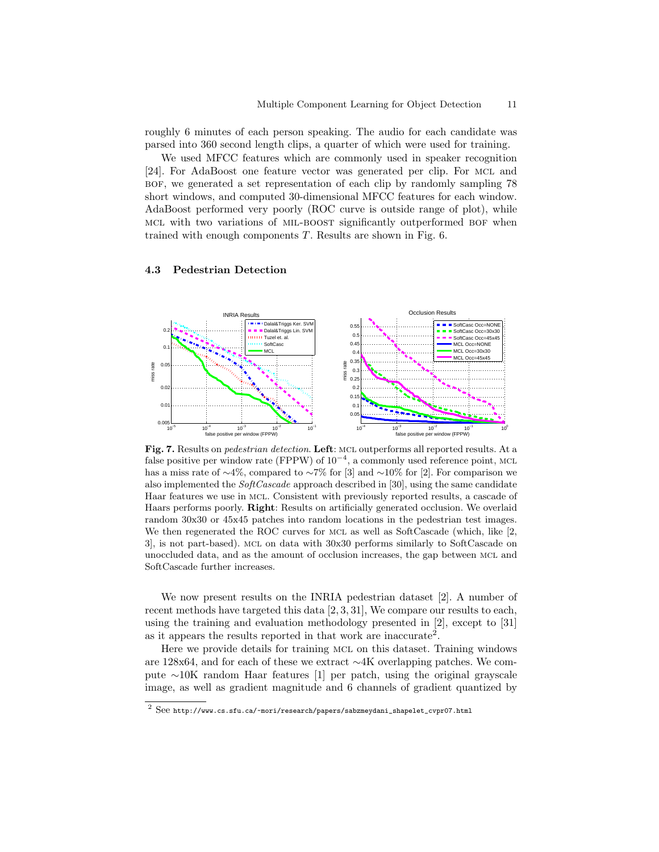roughly 6 minutes of each person speaking. The audio for each candidate was parsed into 360 second length clips, a quarter of which were used for training.

We used MFCC features which are commonly used in speaker recognition [24]. For AdaBoost one feature vector was generated per clip. For MCL and bof, we generated a set representation of each clip by randomly sampling 78 short windows, and computed 30-dimensional MFCC features for each window. AdaBoost performed very poorly (ROC curve is outside range of plot), while mcl with two variations of mil-boost significantly outperformed bof when trained with enough components T. Results are shown in Fig. 6.

## 4.3 Pedestrian Detection



Fig. 7. Results on *pedestrian detection*. Left: MCL outperforms all reported results. At a false positive per window rate (FPPW) of  $10^{-4}$ , a commonly used reference point, MCL has a miss rate of ∼4%, compared to ∼7% for [3] and ∼10% for [2]. For comparison we also implemented the  $SoftCascale$  approach described in [30], using the same candidate Haar features we use in mcl. Consistent with previously reported results, a cascade of Haars performs poorly. Right: Results on artificially generated occlusion. We overlaid random 30x30 or 45x45 patches into random locations in the pedestrian test images. We then regenerated the ROC curves for MCL as well as SoftCascade (which, like [2, 3], is not part-based). mcl on data with 30x30 performs similarly to SoftCascade on unoccluded data, and as the amount of occlusion increases, the gap between mcl and SoftCascade further increases.

We now present results on the INRIA pedestrian dataset [2]. A number of recent methods have targeted this data [2, 3, 31], We compare our results to each, using the training and evaluation methodology presented in [2], except to [31] as it appears the results reported in that work are inaccurate<sup>2</sup>.

Here we provide details for training mcl on this dataset. Training windows are 128x64, and for each of these we extract ∼4K overlapping patches. We compute ∼10K random Haar features [1] per patch, using the original grayscale image, as well as gradient magnitude and 6 channels of gradient quantized by

 $^2$  See http://www.cs.sfu.ca/~mori/research/papers/sabzmeydani\_shapelet\_cvpr07.html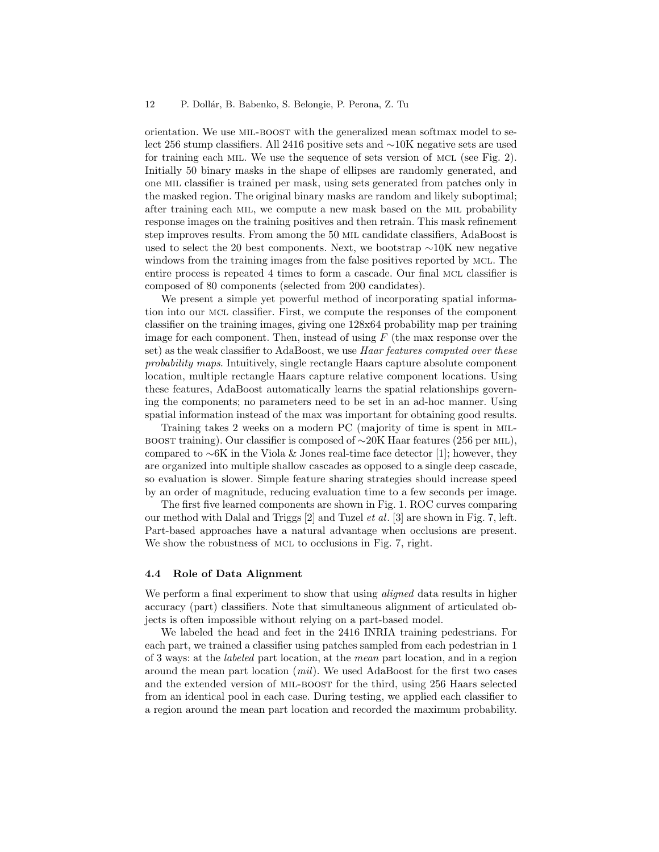orientation. We use mil-boost with the generalized mean softmax model to select 256 stump classifiers. All 2416 positive sets and ∼10K negative sets are used for training each mil. We use the sequence of sets version of mcl (see Fig. 2). Initially 50 binary masks in the shape of ellipses are randomly generated, and one mil classifier is trained per mask, using sets generated from patches only in the masked region. The original binary masks are random and likely suboptimal; after training each mil, we compute a new mask based on the mil probability response images on the training positives and then retrain. This mask refinement step improves results. From among the 50 mil candidate classifiers, AdaBoost is used to select the 20 best components. Next, we bootstrap ∼10K new negative windows from the training images from the false positives reported by mcl. The entire process is repeated 4 times to form a cascade. Our final mcl classifier is composed of 80 components (selected from 200 candidates).

We present a simple yet powerful method of incorporating spatial information into our mcl classifier. First, we compute the responses of the component classifier on the training images, giving one 128x64 probability map per training image for each component. Then, instead of using  $F$  (the max response over the set) as the weak classifier to AdaBoost, we use Haar features computed over these probability maps. Intuitively, single rectangle Haars capture absolute component location, multiple rectangle Haars capture relative component locations. Using these features, AdaBoost automatically learns the spatial relationships governing the components; no parameters need to be set in an ad-hoc manner. Using spatial information instead of the max was important for obtaining good results.

Training takes 2 weeks on a modern PC (majority of time is spent in milboost training). Our classifier is composed of  $\sim$ 20K Haar features (256 per MIL), compared to ∼6K in the Viola & Jones real-time face detector [1]; however, they are organized into multiple shallow cascades as opposed to a single deep cascade, so evaluation is slower. Simple feature sharing strategies should increase speed by an order of magnitude, reducing evaluation time to a few seconds per image.

The first five learned components are shown in Fig. 1. ROC curves comparing our method with Dalal and Triggs [2] and Tuzel et al. [3] are shown in Fig. 7, left. Part-based approaches have a natural advantage when occlusions are present. We show the robustness of MCL to occlusions in Fig. 7, right.

## 4.4 Role of Data Alignment

We perform a final experiment to show that using *aligned* data results in higher accuracy (part) classifiers. Note that simultaneous alignment of articulated objects is often impossible without relying on a part-based model.

We labeled the head and feet in the 2416 INRIA training pedestrians. For each part, we trained a classifier using patches sampled from each pedestrian in 1 of 3 ways: at the labeled part location, at the mean part location, and in a region around the mean part location (mil). We used AdaBoost for the first two cases and the extended version of MIL-BOOST for the third, using 256 Haars selected from an identical pool in each case. During testing, we applied each classifier to a region around the mean part location and recorded the maximum probability.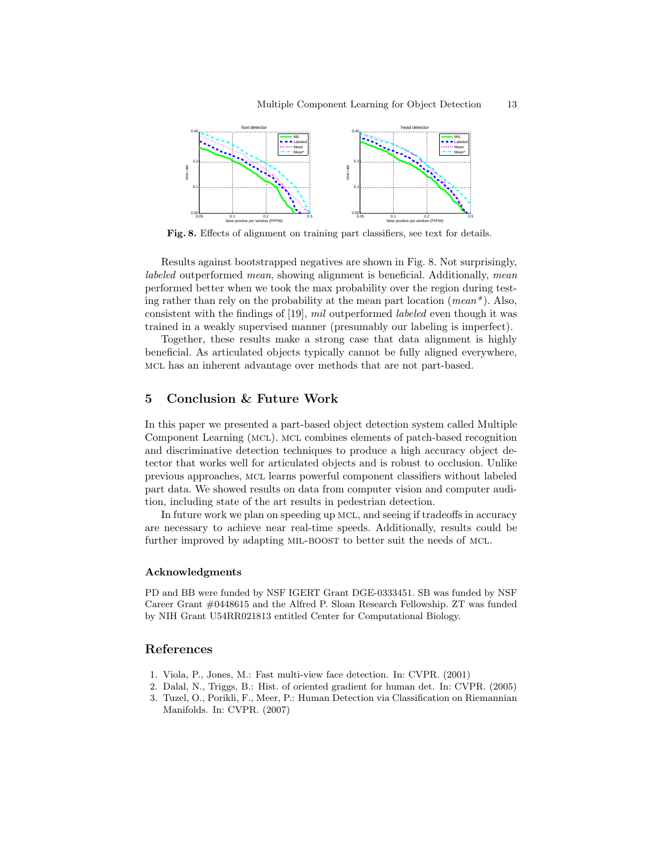

Fig. 8. Effects of alignment on training part classifiers, see text for details.

Results against bootstrapped negatives are shown in Fig. 8. Not surprisingly, labeled outperformed mean, showing alignment is beneficial. Additionally, mean performed better when we took the max probability over the region during testing rather than rely on the probability at the mean part location (mean\*). Also, consistent with the findings of [19], mil outperformed labeled even though it was trained in a weakly supervised manner (presumably our labeling is imperfect).

Together, these results make a strong case that data alignment is highly beneficial. As articulated objects typically cannot be fully aligned everywhere, mcl has an inherent advantage over methods that are not part-based.

# 5 Conclusion & Future Work

In this paper we presented a part-based object detection system called Multiple Component Learning (mcl). mcl combines elements of patch-based recognition and discriminative detection techniques to produce a high accuracy object detector that works well for articulated objects and is robust to occlusion. Unlike previous approaches, mcl learns powerful component classifiers without labeled part data. We showed results on data from computer vision and computer audition, including state of the art results in pedestrian detection.

In future work we plan on speeding up MCL, and seeing if tradeoffs in accuracy are necessary to achieve near real-time speeds. Additionally, results could be further improved by adapting MIL-BOOST to better suit the needs of MCL.

## Acknowledgments

PD and BB were funded by NSF IGERT Grant DGE-0333451. SB was funded by NSF Career Grant #0448615 and the Alfred P. Sloan Research Fellowship. ZT was funded by NIH Grant U54RR021813 entitled Center for Computational Biology.

## References

- 1. Viola, P., Jones, M.: Fast multi-view face detection. In: CVPR. (2001)
- 2. Dalal, N., Triggs, B.: Hist. of oriented gradient for human det. In: CVPR. (2005) 3. Tuzel, O., Porikli, F., Meer, P.: Human Detection via Classification on Riemannian Manifolds. In: CVPR. (2007)